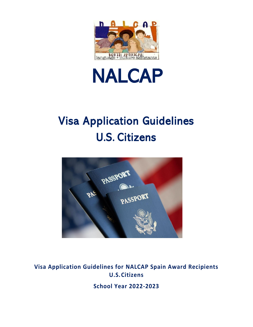



# Visa Application Guidelines U.S. Citizens



**Visa Application Guidelines for NALCAP Spain Award Recipients U.S.Citizens**

**School Year 2022-2023**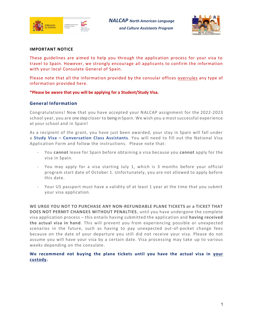

*NALCAP North American Language and Culture Assistants Program*



#### **IMPORTANT NOTICE**

These guidelines are aimed to help you through the application process for your visa to travel to Spain. However, we strongly encourage all applicants to confirm the information with your local Consulate General of Spain.

Please note that all the information provided by the consular offices overrules any type of information provided here*.*

#### **\*Please be aware that you will be applying for a Student/Study Visa.**

## **General Information**

Congratulations! Now that you have accepted your NALCAP assignment for the 2022-2023 school year, you are one step closer to being in Spain. We wish you a most successful experience at your school and in Spain!

As a recipient of the grant, you have just been awarded, your stay in Spain will fall under a **Study Visa – Conversation Class Assistants**. You will need to fill out the National Visa Application Form and follow the instructions. Please note that:

- You **cannot** leave for Spain before obtaining a visa because you **cannot** apply for the visa in Spain.
- You may apply for a visa starting July 1, which is 3 months before your official program start date of October 1. Unfortunately, you are not allowed to apply before this date.
- Your US passport must have a validity of at least 1 year at the time that you submit your visa application.

**WE URGE YOU NOT TO PURCHASE ANY NON-REFUNDABLE PLANE TICKETS or a TICKET THAT DOES NOT PERMIT CHANGES WITHOUT PENALTIES** , until you have undergone the complete visa application process – this entails having submitted the application and **having received the actual visa in hand**. This will prevent you from experiencing possible or unexpected scenarios in the future, such as having to pay unexpected out-of-pocket change fees because on the date of your departure you still did not receive your visa. Please do not assume you will have your visa by a certain date. Visa processing may take up to various weeks depending on the consulate.

**We recommend not buying the plane tickets until you have the actual visa in your custody.**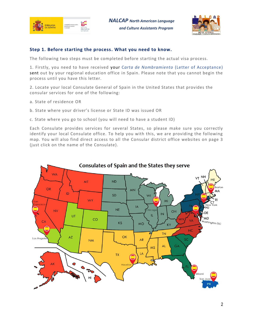

*NALCAP North American Language and Culture Assistants Program*



# **Step 1. Before starting the process. What you need to know.**

The following two steps must be completed before starting the actual visa process.

1. Firstly, you need to have received your C*arta de Nombramiento* (Letter of Acceptance) sent out by your regional education office in Spain. Please note that you cannot begin the process until you have this letter.

2. Locate your local Consulate General of Spain in the United States that provides the consular services for one of the following:

- a. State of residence OR
- b. State where your driver's license or State ID was issued OR
- c. State where you go to school (you will need to have a student ID)

Each Consulate provides services for several States, so please make sure you correctly identify your local Consulate office. To help you with this, we are providing the following map. You will also find direct access to all the Consular district office websites on page 3 (just click on the name of the Consulate).

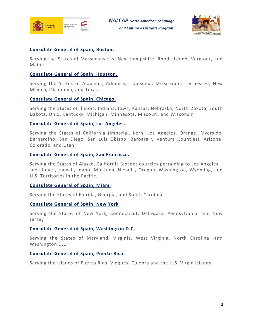



# **[Consulate General of Spain, Boston.](https://www.exteriores.gob.es/Consulados/boston/en/Paginas/index.aspx)**

Serving the States of Massachusetts, New Hampshire, Rhode Island, Vermont, and Maine.

# **[Consulate General of Spain, Houston.](https://www.exteriores.gob.es/Consulados/houston/en/Paginas/index.aspx)**

Serving the States of Alabama, Arkansas, Louisiana, Mississippi, Tennessee, New Mexico, Oklahoma, and Texas.

# **[Consulate General of Spain, Chicago.](https://www.exteriores.gob.es/Consulados/chicago/en/Paginas/index.aspx)**

Serving the States of Illinois, Indiana, Iowa, Kansas, Nebraska, North Dakota, South Dakota, Ohio, Kentucky, Michigan, Minnesota, Missouri, and Wisconsin

# **[Consulate General of Spain, Los Angeles.](https://www.exteriores.gob.es/Consulados/losangeles/en/Paginas/index.aspx)**

Serving the States of California (Imperial, Kern, Los Angeles, Orange, Riverside, Bernardino, San Diego, San Luis Obispo, Barbara y Ventura Counties), Arizona, Colorado, and Utah.

# **[Consulate General of Spain, San Francisco.](https://www.exteriores.gob.es/Consulados/sanfrancisco/en/Paginas/index.aspx)**

Serving the States of Alaska, California (except counties pertaining to Los Angeles – see above), Hawaii, Idaho, Montana, Nevada, Oregon, Washington, Wyoming, and U.S. Territories in the Pacific.

# **[Consulate General of Spain, Miami](https://www.exteriores.gob.es/Consulados/miami/en/Paginas/index.aspx)**

Serving the States of Florida, Georgia, and South Carolina

# **[Consulate General of Spain, New York](https://www.exteriores.gob.es/Consulados/nuevayork/en/Paginas/index.aspx)**

Serving the States of New York, Connecticut, Delaware, Pennsylvania, and New Jersey

# **[Consulate General of Spain, Washington D.C.](https://www.exteriores.gob.es/Embajadas/washington/en/Paginas/index.aspx)**

Serving the States of Maryland, Virginia, West Virginia, North Carolina, and Washington D.C

# **[Consulate General of Spain, Puerto Rico.](https://www.exteriores.gob.es/Consulados/sanjuandepuertorico/es/Paginas/index.aspx)**

Serving the Islands of Puerto Rico, Vieques, Culebra and the U.S. Virgin Islands.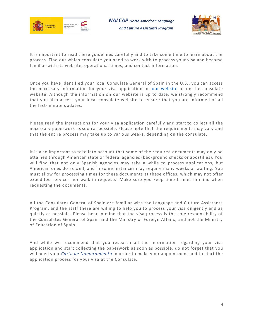

*NALCAP North American Language and Culture Assistants Program*



It is important to read these guidelines carefully and to take some time to learn about the process. Find out which consulate you need to work with to process your visa and become familiar with its website, operational times, and contact information.

Once you have identified your local Consulate General of Spain in the U.S., you can access the necessary information for your visa application on [our website](https://www.educacionyfp.gob.es/eeuu/convocatorias-programas/convocatorias-eeuu/nalcap/visa.html) or on the consulate website. Although the information on our website is up to date, we strongly recommend that you also access your local consulate website to ensure that you are informed of all the last-minute updates.

Please read the instructions for your visa application carefully and start to collect all the necessary paperwork as soon as possible. Please note that the requirements may vary and that the entire process may take up to various weeks, depending on the consulate.

It is also important to take into account that some of the required documents may only be attained through American state or federal agencies (background checks or apostilles). You will find that not only Spanish agencies may take a while to process applications, but American ones do as well, and in some instances may require many weeks of waiting. You must allow for processing times for these documents at these offices, which may not offer expedited services nor walk-in requests. Make sure you keep time frames in mind when requesting the documents.

All the Consulates General of Spain are familiar with the Language and Culture Assistants Program, and the staff there are willing to help you to process your visa diligently and as quickly as possible. Please bear in mind that the visa process is the sole responsibility of the Consulates General of Spain and the Ministry of Foreign Affairs, and not the Ministry of Education of Spain.

And while we recommend that you research all the information regarding your visa application and start collecting the paperwork as soon as possible, do not forget that you will need your *Carta de Nombramiento* in order to make your appointment and to start the application process for your visa at the Consulate.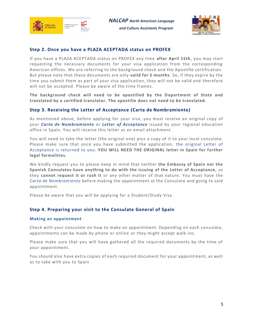



## **Step 2. Once you have a PLAZA ACEPTADA status on PROFEX**

If you have a PLAZA ACEPTADA status on PROFEX any time **after April 15th**, you may start requesting the necessary documents for your visa application from the corresponding American offices. We are referring to the background check and the Apostille certification. But please note that these documents are only **valid for 5 months**. So, if they expire by the time you submit them as part of your visa application, they will not be valid and therefore will not be accepted. Please be aware of the time frames.

**The background check will need to be apostilled by the Department of State and translated by a certified translator. The apostille does not need to be translated.**

## **Step 3. Receiving the Letter of Acceptance (Carta de Nombramiento)**

As mentioned above, before applying for your visa, you must receive an original copy of your *Carta de Nombramiento* or *Letter of Acceptance* issued by your regional education office in Spain. You will receive this letter as an email attachment.

You will need to take the letter (the original one) plus a copy of it to your local consulate. Please make sure that once you have submitted the application, the original Letter of Acceptance is returned to you. **YOU WILL NEED THE ORIGINAL letter in Spain for further legal formalities.**

We kindly request you to please keep in mind that neither **the Embassy of Spain nor the Spanish Consulates have anything to do with the issuing of the Letter of Acceptance**, so they **cannot request it or rush it** or any other matter of that nature. You must have the C*arta de Nombramiento* before making the appointment at the Consulate and going to said appointment.

Please be aware that you will be applying for a Student/Study Visa.

## **Step 4. Preparing your visit to the Consulate General of Spain**

#### **Making an appointment**

Check with your consulate on how to make an appointment. Depending on each consulate, appointments can be made by phone or online or they might accept walk-ins.

Please make sure that you will have gathered all the required documents by the time of your appointment.

You should also have extra copies of each required document for your appointment, as well as to take with you to Spain.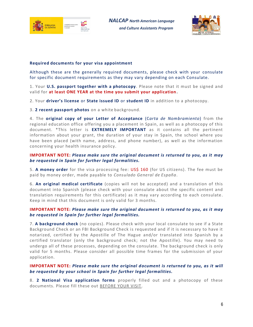



## **Required documents for your visa appointment**

Although these are the generally required documents, please check with your consulate for specific document requirements as they may vary depending on each Consulate.

1. Your **U.S. passport together with a photocopy**. Please note that it must be signed and valid for **at least ONE YEAR at the time you submit your application.**

2. Your **driver's license** or **State issued ID** or **student ID** in addition to a photocopy.

3. **2 recent passport photos** on a white background.

4. The **original copy of your Letter of Acceptance** (C*arta de Nombramiento*) from the regional education office offering you a placement in Spain, as well as a photocopy of this document. \*This letter is **EXTREMELY IMPORTANT** as it contains all the pertinent information about your grant, the duration of your stay in Spain, the school where you have been placed (with name, address, and phone number), as well as the information concerning your health insurance policy.

## **IMPORTANT NOTE:** *Please make sure the original document is returned to you, as it may be requested in Spain for further legal formalities.*

5. **A money order** for the visa processing fee: US\$ 160 (for US citizens). The fee must be paid by money order, made payable to *Consulado General de España*.

6. **An original medical certificate** (copies will not be accepted) and a translation of this document into Spanish (please check with your consulate about the specific content and translation requirements for this certificate) as it may vary according to each consulate. Keep in mind that this document is only valid for 3 months.

## **IMPORTANT NOTE:** *Please make sure the original document is returned to you, as it may be requested in Spain for further legal formalities.*

7. **A background check** (no copies). Please check with your local consulate to see if a State Background Check or an FBI Background Check is requested and if it is necessary to have it notarized, certified by the Apostille of The Hague and/or translated into Spanish by a certified translator (only the background check; not the Apostille). You may need to undergo all of these processes, depending on the consulate. The background check is only valid for 5 months. Please consider all possible time frames for the submission of your application.

## **IMPORTANT NOTE:** *Please make sure the original document is returned to you, as it will be requested by your school in Spain for further legal formalities.*

8. **2 National Visa application forms** properly filled out and a photocopy of these documents. Please fill these out BEFORE YOUR VISIT.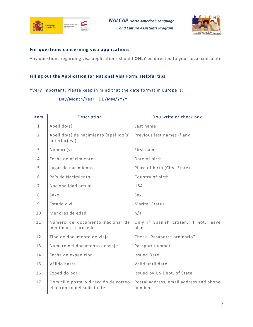



## **For questions concerning visa applications**

Any questions regarding visa applications should **ONLY** be directed to your local consulate.

# **Filling out the Application for National Visa Form. Helpful tips.**

# \*Very important: Please keep in mind that the date format in Europe is:

# Day/Month/Year DD/MM/YYYY

| Item           | Description                                                           | You write or check box                            |
|----------------|-----------------------------------------------------------------------|---------------------------------------------------|
| $\mathbf{1}$   | Apellido(s)                                                           | Last name                                         |
| $\overline{2}$ | Apellido(s) de nacimiento (apellido(s)<br>anterior(es))               | Previous last names if any                        |
| $\overline{3}$ | Nombre(s)                                                             | First name                                        |
| $\overline{4}$ | Fecha de nacimiento                                                   | Date of birth                                     |
| 5              | Lugar de nacimiento                                                   | Place of birth (City, State)                      |
| 6              | País de Nacimiento                                                    | Country of birth                                  |
| $\overline{7}$ | Nacionalidad actual                                                   | <b>USA</b>                                        |
| 8              | Sexo                                                                  | Sex                                               |
| 9              | Estado civil                                                          | <b>Marital Status</b>                             |
| 10             | Menores de edad                                                       | n/a                                               |
| 11             | Número de documento nacional de<br>identidad, si procede              | Only if Spanish citizen. If not, leave<br>blank   |
| 12             | Tipo de documento de viaje                                            | Check "Pasaporte ordinario"                       |
| 13             | Número del documento de viaje                                         | Passport number                                   |
| 14             | Fecha de expedición                                                   | <b>Issued Date</b>                                |
| 15             | Válido hasta                                                          | Valid until date                                  |
| 16             | Expedido por                                                          | Issued by US Dept. of State                       |
| 17             | Domicilio postal y dirección de correo<br>electrónico del solicitante | Postal address, email address and phone<br>number |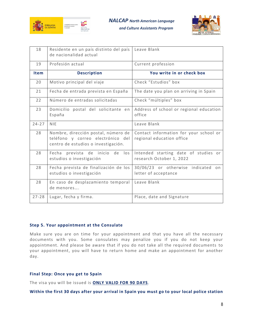

*NALCAP North American Language* 

 *and Culture Assistants Program*



| 18          | Residente en un país distinto del país<br>de nacionalidad actual                                                | Leave Blank                                                         |
|-------------|-----------------------------------------------------------------------------------------------------------------|---------------------------------------------------------------------|
| 19          | Profesión actual                                                                                                | Current profession                                                  |
| <b>Item</b> | <b>Description</b>                                                                                              | You write in or check box                                           |
| 20          | Motivo principal del viaje                                                                                      | Check "Estudios" box                                                |
| 21          | Fecha de entrada prevista en España                                                                             | The date you plan on arriving in Spain                              |
| 22          | Número de entradas solicitadas                                                                                  | Check "múltiples" box                                               |
| 23          | Domicilio postal del solicitante en<br>España                                                                   | Address of school or regional education<br>office                   |
| $24 - 27$   | <b>NIE</b>                                                                                                      | Leave Blank                                                         |
| 28          | Nombre, dirección postal, número de<br>teléfono y correo electrónico del<br>centro de estudios o investigación. | Contact information for your school or<br>regional education office |
| 28          | Fecha prevista de inicio de los<br>estudios o investigación                                                     | Intended starting date of studies or<br>research October 1, 2022    |
| 28          | Fecha prevista de finalización de los<br>estudios o investigación                                               | 30/06/23 or otherwise indicated<br>on<br>letter of acceptance       |
| 28          | En caso de desplazamiento temporal<br>de menores                                                                | Leave Blank                                                         |
| $27 - 28$   | Lugar, fecha y firma.                                                                                           | Place, date and Signature                                           |

### **Step 5. Your appointment at the Consulate**

Make sure you are on time for your appointment and that you have all the necessary documents with you. Some consulates may penalize you if you do not keep your appointment. And please be aware that if you do not take all the required documents to your appointment, you will have to return home and make an appointment for another day.

## **Final Step: Once you get to Spain**

The visa you will be issued is **ONLY VALID FOR 90 DAYS**.

**Within the first 30 days after your arrival in Spain you must go to your local police station**